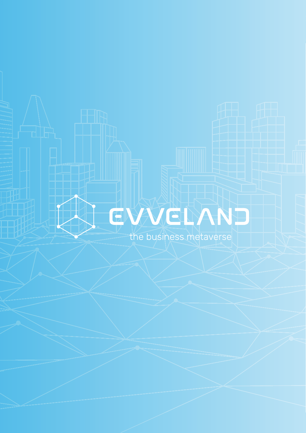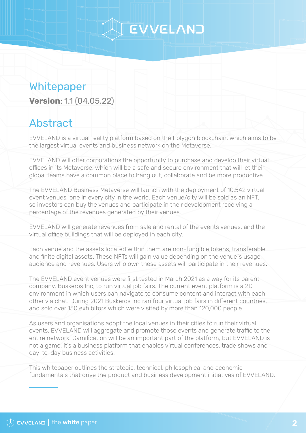### Whitepaper

**Version**: 1.1 (04.05.22)

### Abstract

EVVELAND is a virtual reality platform based on the Polygon blockchain, which aims to be the largest virtual events and business network on the Metaverse.

EVVELAND will offer corporations the opportunity to purchase and develop their virtual offices in its Metaverse, which will be a safe and secure environment that will let their global teams have a common place to hang out, collaborate and be more productive.

The EVVELAND Business Metaverse will launch with the deployment of 10,542 virtual event venues, one in every city in the world. Each venue/city will be sold as an NFT, so investors can buy the venues and participate in their development receiving a percentage of the revenues generated by their venues.

EVVELAND will generate revenues from sale and rental of the events venues, and the virtual office buildings that will be deployed in each city.

Each venue and the assets located within them are non-fungible tokens, transferable and finite digital assets. These NFTs will gain value depending on the venue´s usage, audience and revenues. Users who own these assets will participate in their revenues.

The EVVELAND event venues were first tested in March 2021 as a way for its parent company, Buskeros Inc, to run virtual job fairs. The current event platform is a 2D environment in which users can navigate to consume content and interact with each other via chat. During 2021 Buskeros Inc ran four virtual job fairs in different countries, and sold over 150 exhibitors which were visited by more than 120,000 people.

As users and organisations adopt the local venues in their cities to run their virtual events, EVVELAND will aggregate and promote those events and generate traffic to the entire network. Gamification will be an important part of the platform, but EVVELAND is not a game, it's a business platform that enables virtual conferences, trade shows and day-to-day business activities.

This whitepaper outlines the strategic, technical, philosophical and economic fundamentals that drive the product and business development initiatives of EVVELAND.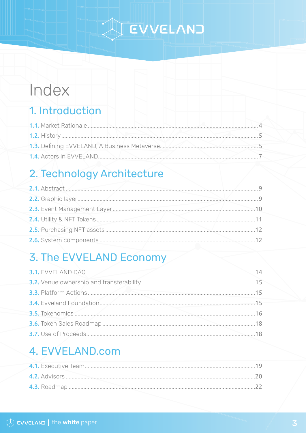## A EVVELANT

### Index

### 1. Introduction

### 2. Technology Architecture

| 2.1. Abstract                    |          |
|----------------------------------|----------|
|                                  | <b>Q</b> |
| 2.3. Event Management Layer      | 1 Q      |
| <b>2.4.</b> Utility & NFT Tokens |          |
|                                  | 12       |
|                                  |          |

### 3. The EVVELAND Economy

### 4. EVVELAND.com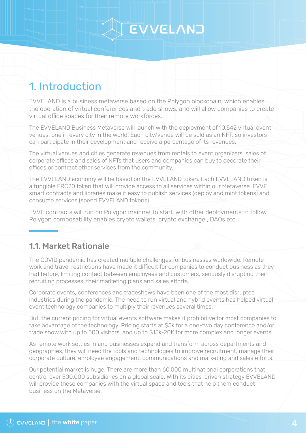### <span id="page-3-0"></span>1. Introduction

EVVELAND is a business metaverse based on the Polygon blockchain, which enables the operation of virtual conferences and trade shows, and will allow companies to create virtual office spaces for their remote workforces.

The EVVELAND Business Metaverse will launch with the deployment of 10,542 virtual event venues, one in every city in the world. Each city/venue will be sold as an NFT, so investors can participate in their development and receive a percentage of its revenues.

The virtual venues and cities generate revenues from rentals to event organizers, sales of corporate offices and sales of NFTs that users and companies can buy to decorate their offices or contract other services from the community.

The EVVELAND economy will be based on the EVVELAND token. Each EVVELAND token is a fungible ERC20 token that will provide access to all services within our Metaverse. EVVE smart contracts and libraries make it easy to publish services (deploy and mint tokens) and consume services (spend EVVELAND tokens).

EVVE contracts will run on Polygon mainnet to start, with other deployments to follow. Polygon composability enables crypto wallets, crypto exchange , DAOs etc.

#### 1.1. Market Rationale

The COVID pandemic has created multiple challenges for businesses worldwide. Remote work and travel restrictions have made it difficult for companies to conduct business as they had before, limiting contact between employees and customers, seriously disrupting their recruiting processes, their marketing plans and sales efforts.

Corporate events, conferences and tradeshows have been one of the most disrupted industries during the pandemic. The need to run virtual and hybrid events has helped virtual event technology companies to multiply their revenues several times.

But, the current pricing for virtual events software makes it prohibitive for most companies to take advantage of the technology. Pricing starts at \$5k for a one-two day conference and/or trade show with up to 500 visitors, and up to \$15k-20K for more complex and longer events.

As remote work settles in and businesses expand and transform across departments and geographies, they will need the tools and technologies to improve recruitment, manage their corporate culture, employee engagement, communications and marketing and sales efforts.

Our potential market is huge. There are more than 60,000 multinational corporations that control over 500,000 subsidiaries on a global scale. With its cities-driven strategy EVVELAND will provide these companies with the virtual space and tools that help them conduct business on the Metaverse.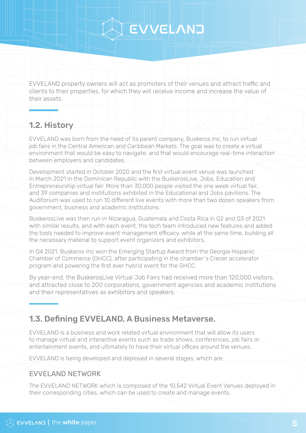<span id="page-4-0"></span>EVVELAND property owners will act as promoters of their venues and attract traffic and clients to their properties, for which they will receive income and increase the value of their assets.

#### 1.2. History

EVVELAND was born from the need of its parent company, Buskeros Inc, to run virtual job fairs in the Central American and Caribbean Markets. The goal was to create a virtual environment that would be easy to navigate, and that would encourage real-time interaction between employers and candidates.

Development started in October 2020 and the first virtual event venue was launched in March 2021 in the Dominican Republic with the BuskerosLive, Jobs, Education and Entrepreneurship virtual fair. More than 30,000 people visited the one week virtual fair, and 39 companies and institutions exhibited in the Educational and Jobs pavilions. The Auditorium was used to run 10 different live events with more than two dozen speakers from government, business and academic institutions.

BuskerosLive was then run in Nicaragua, Guatemala and Costa Rica in Q2 and Q3 of 2021 with similar results, and with each event, the tech team introduced new features and added the tools needed to improve event management efficacy, while at the same time, building all the necessary material to support event organizers and exhibitors.

In Q4 2021, Buskeros Inc won the Emerging Startup Award from the Georgia Hispanic Chamber of Commerce (GHCC), after participating in the chamber´s Crecer accelerator program and powering the first ever hybrid event for the GHCC.

By year-end, the BuskerosLive Virtual Job Fairs had received more than 120,000 visitors, and attracted close to 200 corporations, government agencies and academic institutions and their representatives as exhibitors and speakers.

#### 1.3. Defining EVVELAND, A Business Metaverse.

EVVELAND is a business and work related virtual environment that will allow its users to manage virtual and interactive events such as trade shows, conferences, job fairs or entertainment events, and ultimately to have their virtual offices around the venues.

EVVELAND is being developed and deployed in several stages, which are:

#### EVVELAND NETWORK

The EVVELAND NETWORK which is composed of the 10,542 Virtual Event Venues deployed in their corresponding cities, which can be used to create and manage events.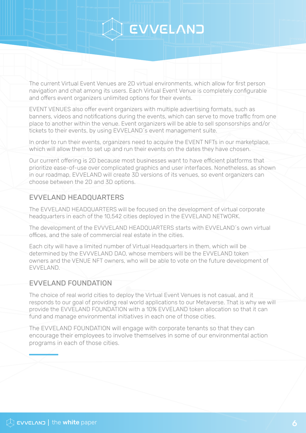The current Virtual Event Venues are 2D virtual environments, which allow for first person navigation and chat among its users. Each Virtual Event Venue is completely configurable and offers event organizers unlimited options for their events.

EVENT VENUES also offer event organizers with multiple advertising formats, such as banners, videos and notifications during the events, which can serve to move traffic from one place to another within the venue. Event organizers will be able to sell sponsorships and/or tickets to their events, by using EVVELAND´s event management suite.

In order to run their events, organizers need to acquire the EVENT NFTs in our marketplace, which will allow them to set up and run their events on the dates they have chosen.

Our current offering is 2D because most businesses want to have efficient platforms that prioritize ease-of-use over complicated graphics and user interfaces. Nonetheless, as shown in our roadmap, EVVELAND will create 3D versions of its venues, so event organizers can choose between the 2D and 3D options.

#### EVVELAND HEADQUARTERS

The EVVELAND HEADQUARTERS will be focused on the development of virtual corporate headquarters in each of the 10,542 cities deployed in the EVVELAND NETWORK.

The development of the EVVVELAND HEADQUARTERS starts with EVVELAND´s own virtual offices, and the sale of commercial real estate in the cities.

Each city will have a limited number of Virtual Headquarters in them, which will be determined by the EVVVELAND DAO, whose members will be the EVVELAND token owners and the VENUE NFT owners, who will be able to vote on the future development of EVVELAND.

#### EVVELAND FOUNDATION

The choice of real world cities to deploy the Virtual Event Venues is not casual, and it responds to our goal of providing real world applications to our Metaverse. That is why we will provide the EVVELAND FOUNDATION with a 10% EVVELAND token allocation so that it can fund and manage environmental initiatives in each one of those cities.

The EVVELAND FOUNDATION will engage with corporate tenants so that they can encourage their employees to involve themselves in some of our environmental action programs in each of those cities.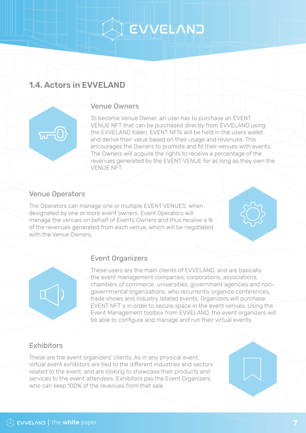#### <span id="page-6-0"></span>1.4. Actors in EVVELAND

#### Venue Owners

To become Venue Owner, an user has to purchase an EVENT VENUE NFT that can be purchased directly from EVVELAND using the EVVELAND token. EVENT NFTs will be held in the users wallet and derive their value based on their usage and revenues. This encourages the Owners to promote and fill their venues with events. The Owners will acquire the rights to receive a percentage of the revenues generated by the EVENT VENUE for as long as they own the VENUE NFT.

#### Venue Operators

ᢑᢇ᠐

The Operators can manage one or multiple EVENT VENUES, when designated by one or more event owners. Event Operators will manage the venues on behalf of Events Owners and thus receive a % of the revenues generated from each venue, which will be negotiated with the Venue Owners.

#### Event Organizers

These users are the main clients of EVVELAND, and are basically the event management companies, corporations, associations, chambers of commerce, universities, government agencies and nongovernmental organizations, who recurrently organize conferences, trade shows and industry related events. Organizers will purchase EVENT NFT´s in order to secure space in the event venues. Using the Event Management toolbox from EVVELAND, the event organizers will be able to configure and manage and run their virtual events.

#### Exhibitors

These are the event organizers' clients. As in any physical event, virtual event exhibitors are tied to the different industries and sectors related to the event, and are looking to showcase their products and services to the event attendees. Exhibitors pay the Event Organizers, who can keep 100% of the revenues from that sale.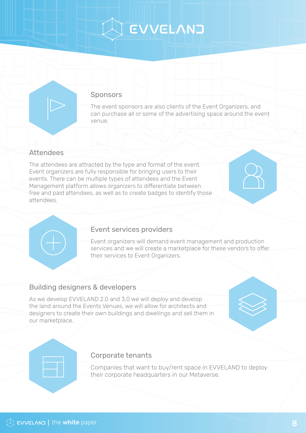#### **Sponsors**

The event sponsors are also clients of the Event Organizers, and can purchase all or some of the advertising space around the event venue.

#### Attendees

The attendees are attracted by the type and format of the event. Event organizers are fully responsible for bringing users to their events. There can be multiple types of attendees and the Event Management platform allows organizers to differentiate between free and paid attendees, as well as to create badges to identify those attendees.

#### Event services providers

Event organizers will demand event management and production services and we will create a marketplace for these vendors to offer their services to Event Organizers.

#### Building designers & developers

As we develop EVVELAND 2.0 and 3.0 we will deploy and develop the land around the Events Venues, we will allow for architects and designers to create their own buildings and dwellings and sell them in our marketplace.



#### Corporate tenants

Companies that want to buy/rent space in EVVELAND to deploy their corporate headquarters in our Metaverse.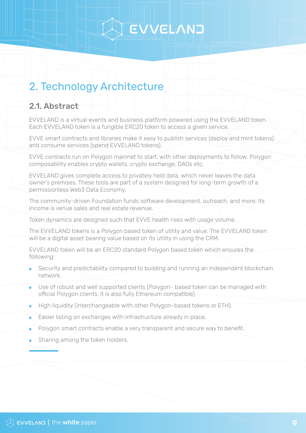### <span id="page-8-0"></span>2. Technology Architecture

#### 2.1. Abstract

EVVELAND is a virtual events and business platform powered using the EVVELAND token. Each EVVELAND token is a fungible ERC20 token to access a given service.

EVVE smart contracts and libraries make it easy to publish services (deploy and mint tokens) and consume services (spend EVVELAND tokens).

EVVE contracts run on Polygon mainnet to start, with other deployments to follow. Polygon composability enables crypto wallets, crypto exchange, DAOs etc.

EVVELAND gives complete access to privately held data, which never leaves the data owner's premises. These tools are part of a system designed for long-term growth of a permissionless Web3 Data Economy.

The community-driven Foundation funds software development, outreach, and more. Its income is venue sales and real estate revenue.

Token dynamics are designed such that EVVE health rises with usage volume.

The EVVELAND tokens is a Polygon based token of utility and value. The EVVELAND token will be a digital asset bearing value based on its utility in using the CRM.

EVVELAND token will be an ERC20 standard Polygon based token which ensures the following:

- Security and predictability compared to building and running an independent blockchain network.
- Use of robust and well supported clients (Polygon- based token can be managed with official Polygon clients, it is also fully Ethereum compatible).
- High liquidity (interchangeable with other Polygon-based tokens or ETH).
- Easier listing on exchanges with infrastructure already in place.
- Polygon smart contracts enable a very transparent and secure way to benefit.
- Sharing among the token holders.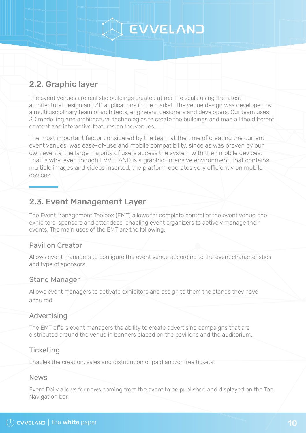#### <span id="page-9-0"></span>2.2. Graphic layer

The event venues are realistic buildings created at real life scale using the latest architectural design and 3D applications in the market. The venue design was developed by a multidisciplinary team of architects, engineers, designers and developers. Our team uses 3D modelling and architectural technologies to create the buildings and map all the different content and interactive features on the venues.

The most important factor considered by the team at the time of creating the current event venues, was ease-of-use and mobile compatibility, since as was proven by our own events, the large majority of users access the system with their mobile devices. That is why, even though EVVELAND is a graphic-intensive environment, that contains multiple images and videos inserted, the platform operates very efficiently on mobile devices.

#### 2.3. Event Management Layer

The Event Management Toolbox (EMT) allows for complete control of the event venue, the exhibitors, sponsors and attendees, enabling event organizers to actively manage their events. The main uses of the EMT are the following:

#### Pavilion Creator

Allows event managers to configure the event venue according to the event characteristics and type of sponsors.

#### Stand Manager

Allows event managers to activate exhibitors and assign to them the stands they have acquired.

#### Advertising

The EMT offers event managers the ability to create advertising campaigns that are distributed around the venue in banners placed on the pavilions and the auditorium.

#### **Ticketing**

Enables the creation, sales and distribution of paid and/or free tickets.

#### News

Event Daily allows for news coming from the event to be published and displayed on the Top Navigation bar.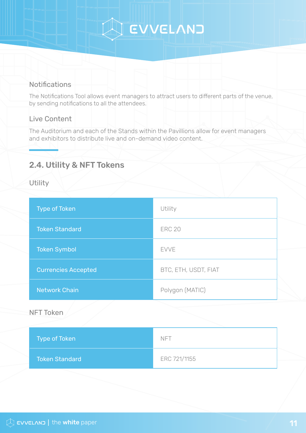## A EVVELANT

#### <span id="page-10-0"></span>Notifications

The Notifications Tool allows event managers to attract users to different parts of the venue, by sending notifications to all the attendees.

#### Live Content

The Auditorium and each of the Stands within the Pavillions allow for event managers and exhibitors to distribute live and on-demand video content.

#### 2.4. Utility & NFT Tokens

**Utility** 

| <b>Type of Token</b>       | Utility              |
|----------------------------|----------------------|
| <b>Token Standard</b>      | <b>ERC 20</b>        |
| <b>Token Symbol</b>        | <b>EVVE</b>          |
| <b>Currencies Accepted</b> | BTC, ETH, USDT, FIAT |
| <b>Network Chain</b>       | Polygon (MATIC)      |
| <b>NFT Token</b>           |                      |
| <b>Type of Token</b>       | <b>NFT</b>           |
| <b>Token Standard</b>      | ERC 721/1155         |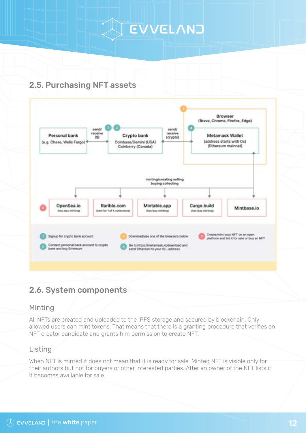### <span id="page-11-0"></span>2.5. Purchasing NFT assets



#### 2.6. System components

#### Minting

All NFTs are created and uploaded to the IPFS storage and secured by blockchain. Only allowed users can mint tokens. That means that there is a granting procedure that verifies an NFT creator candidate and grants him permission to create NFT.

#### Listing

When NFT is minted it does not mean that it is ready for sale. Minted NFT is visible only for their authors but not for buyers or other interested parties. After an owner of the NFT lists it, it becomes available for sale.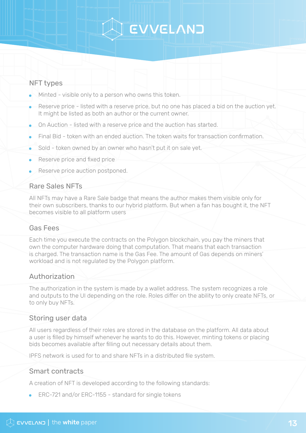#### NFT types

- $\bullet$  Minted visible only to a person who owns this token.
- Reserve price listed with a reserve price, but no one has placed a bid on the auction yet. It might be listed as both an author or the current owner.
- On Auction listed with a reserve price and the auction has started.
- Final Bid token with an ended auction. The token waits for transaction confirmation.
- Sold token owned by an owner who hasn't put it on sale yet.
- Reserve price and fixed price
- Reserve price auction postponed.

#### Rare Sales NFTs

All NFTs may have a Rare Sale badge that means the author makes them visible only for their own subscribers, thanks to our hybrid platform. But when a fan has bought it, the NFT becomes visible to all platform users

#### Gas Fees

Each time you execute the contracts on the Polygon blockchain, you pay the miners that own the computer hardware doing that computation. That means that each transaction is charged. The transaction name is the Gas Fee. The amount of Gas depends on miners' workload and is not regulated by the Polygon platform.

#### Authorization

The authorization in the system is made by a wallet address. The system recognizes a role and outputs to the UI depending on the role. Roles differ on the ability to only create NFTs, or to only buy NFTs.

#### Storing user data

All users regardless of their roles are stored in the database on the platform. All data about a user is filled by himself whenever he wants to do this. However, minting tokens or placing bids becomes available after filling out necessary details about them.

IPFS network is used for to and share NFTs in a distributed file system.

#### Smart contracts

A creation of NFT is developed according to the following standards:

**ERC-721 and/or ERC-1155 - standard for single tokens**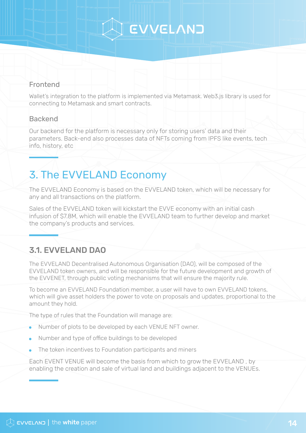#### <span id="page-13-0"></span>Frontend

Wallet's integration to the platform is implemented via Metamask. Web3.js library is used for connecting to Metamask and smart contracts.

#### **Backend**

Our backend for the platform is necessary only for storing users' data and their parameters. Back-end also processes data of NFTs coming from IPFS like events, tech info, history, etc

### 3. The EVVELAND Economy

The EVVELAND Economy is based on the EVVELAND token, which will be necessary for any and all transactions on the platform.

Sales of the EVVELAND token will kickstart the EVVE economy with an initial cash infusion of \$7.8M, which will enable the EVVELAND team to further develop and market the company's products and services.

#### 3.1. EVVELAND DAO

The EVVELAND Decentralised Autonomous Organisation (DAO), will be composed of the EVVELAND token owners, and will be responsible for the future development and growth of the EVVENET, through public voting mechanisms that will ensure the majority rule.

To become an EVVELAND Foundation member, a user will have to own EVVELAND tokens, which will give asset holders the power to vote on proposals and updates, proportional to the amount they hold.

The type of rules that the Foundation will manage are:

- Number of plots to be developed by each VENUE NFT owner.
- Number and type of office buildings to be developed
- The token incentives to Foundation participants and miners

Each EVENT VENUE will become the basis from which to grow the EVVELAND , by enabling the creation and sale of virtual land and buildings adjacent to the VENUEs.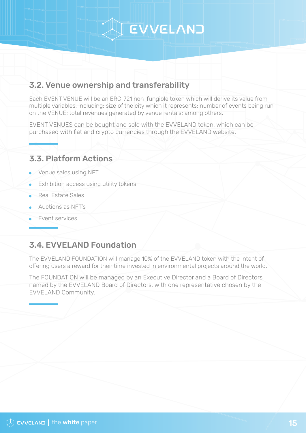#### <span id="page-14-0"></span>3.2. Venue ownership and transferability

Each EVENT VENUE will be an ERC-721 non-fungible token which will derive its value from multiple variables, including: size of the city which it represents; number of events being run on the VENUE; total revenues generated by venue rentals; among others.

EVENT VENUES can be bought and sold with the EVVELAND token, which can be purchased with fiat and crypto currencies through the EVVELAND website.

#### 3.3. Platform Actions

- Venue sales using NFT
- Exhibition access using utility tokens
- Real Estate Sales
- Auctions as NFT's
- Event services

#### 3.4. EVVELAND Foundation

The EVVELAND FOUNDATION will manage 10% of the EVVELAND token with the intent of offering users a reward for their time invested in environmental projects around the world.

The FOUNDATION will be managed by an Executive Director and a Board of Directors named by the EVVELAND Board of Directors, with one representative chosen by the EVVELAND Community.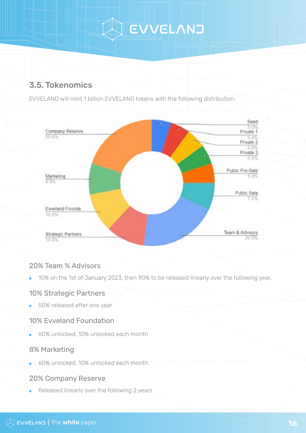### <span id="page-15-0"></span>3.5. Tokenomics

EVVELAND will mint 1 billion EVVELAND tokens with the following distribution:



#### 20% Team % Advisors

10% on the 1st of January 2023, then 90% to be released linearly over the following year.

#### 10% Strategic Partners

**50% released after one year** 

#### 10% Evveland Foundation

60% unlocked, 10% unlocked each month

#### 8% Marketing

60% unlocked, 10% unlocked each month

#### 20% Company Reserve

Released linearly over the following 2 years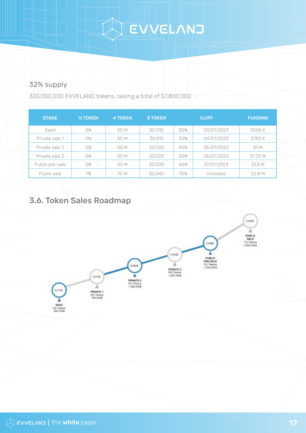# A EVVELANT

#### 32% supply

320,000,000 EVVELAND tokens, raising a total of \$7,800,000 :

| <b>STAGE</b>    | <b>% TOKEN</b> | # TOKEN | <b>STOKEN</b>  |     | <b>CLIFF</b> | <b>FUNDING</b> |
|-----------------|----------------|---------|----------------|-----|--------------|----------------|
| Seed            | 5%             | 50 M    | <b>SO.010</b>  | 30% | 03/01/2023   | \$500 K        |
| Private sale 1  | 5%             | 50 M    | <b>SO.015</b>  | 30% | 04/01/2023   | <b>S750 K</b>  |
| Private sale 2  | 5%             | 50 M    | <b>\$0.020</b> | 40% | 05/01/2023   | S1M            |
| Private sale 3  | 5%             | 50 M    | <b>SO.025</b>  | 50% | 06/01/2023   | \$1.25 M       |
| Public pre-sale | 5%             | 50 M    | \$0.030        | 60% | 07/01/2023   | <b>S1.5 M</b>  |
| Public sale     | 7%             | 70 M    | \$0.040        | 70% | Unlocked     | \$2.8 M        |

#### 3.6. Token Sales Roadmap

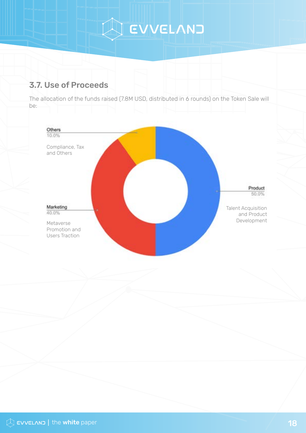A EVVELANT

#### <span id="page-17-0"></span>3.7. Use of Proceeds

The allocation of the funds raised (7.8M USD, distributed in 6 rounds) on the Token Sale will be:

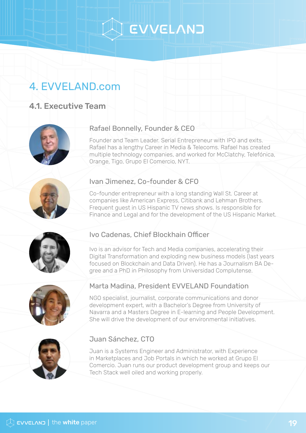## S EVVELAND

### <span id="page-18-0"></span>4. EVVELAND.com

#### 4.1. Executive Team



#### Rafael Bonnelly, Founder & CEO

Founder and Team Leader. Serial Entrepreneur with IPO and exits. Rafael has a lengthy Career in Media & Telecoms. Rafael has created multiple technology companies, and worked for McClatchy, Telefónica, Orange, Tigo, Grupo El Comercio, NYT.



#### Ivan Jimenez, Co-founder & CFO

Co-founder entrepreneur with a long standing Wall St. Career at companies like American Express, Citibank and Lehman Brothers. Frequent guest in US Hispanic TV news shows. Is responsible for Finance and Legal and for the development of the US Hispanic Market.



#### Ivo Cadenas, Chief Blockhain Officer

Ivo is an advisor for Tech and Media companies, accelerating their Digital Transformation and exploding new business models (last years focused on Blockchain and Data Driven). He has a Journalism BA Degree and a PhD in Philosophy from Universidad Complutense.



#### Marta Madina, President EVVELAND Foundation

NGO specialist, journalist, corporate communications and donor development expert, with a Bachelor's Degree from University of Navarra and a Masters Degree in E-learning and People Development. She will drive the development of our environmental initiatives.



#### Juan Sánchez, CTO

Juan is a Systems Engineer and Administrator, with Experience in Marketplaces and Job Portals in which he worked at Grupo El Comercio. Juan runs our product development group and keeps our Tech Stack well oiled and working properly.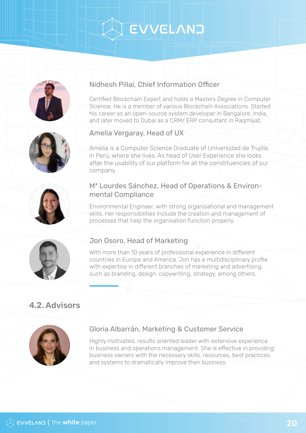## EVVELAND

<span id="page-19-0"></span>

#### Nidhesh Pillai, Chief Information Officer

Certified Blockchain Expert and holds a Masters Degree in Computer Science. He is a member of various Blockchain Associations. Started his career as an open-source system developer in Bangalore, India, and later moved to Dubai as a CRM/ ERP consultant in Raqmiyat.



#### Amelia Vergaray, Head of UX

Amelia is a Computer Science Graduate of Universidad de Trujillo in Perú, where she lives. As head of User Experience she looks after the usability of our platform for all the constituencies of our company.



#### Mª Lourdes Sánchez, Head of Operations & Environmental Compliance

Environmental Engineer, with strong organisational and management skills. Her responsibilities include the creation and management of processes that help the organisation function properly.



#### Jon Osoro, Head of Marketing

With more than 10 years of professional experience in different countries in Europe and America, Jon has a multidisciplinary profile with expertise in different branches of marketing and advertising, such as branding, design, copywriting, strategy, among others.

#### 4.2. Advisors



#### Gloria Albarrán, Marketing & Customer Service

Highly motivated, results oriented leader with extensive experience in business and operations management. She is effective in providing business owners with the necessary skills, resources, best practices, and systems to dramatically improve their business.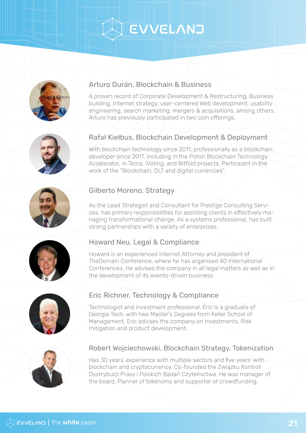## EVVELAND



#### Arturo Durán, Blockchain & Business

A proven record of Corporate Development & Restructuring, Business building, Internet strategy, user-centered Web development, usability engineering, search marketing, mergers & acquisitions, among others. Arturo has previously participated in two coin offerings.



#### Rafał Kiełbus, Blockchain Development & Deployment

With blockchain technology since 2011, professionally as a blockchain developer since 2017, including in the Polish Blockchain Technology Accelerator, in Tecra, iVoting, and Bitfold projects. Participant in the work of the "Blockchain, DLT and digital currencies".



#### Gilberto Moreno, Strategy

As the Lead Strategist and Consultant for Prestige Consulting Services, has primary responsibilities for assisting clients in effectively managing transformational change. As a systems professional, has built strong partnerships with a variety of enterprises.



#### Howard Neu, Legal & Compliance

Howard is an experienced Internet Attorney and president of TheDomain Conference, where he has organised 40 International Conferences. He advises the company in all legal matters as well as in the development of its events-driven business.



#### Eric Richner, Technology & Compliance

Technologist and investment professional. Eric is a graduate of Georgia Tech, with two Master's Degrees from Keller School of Management. Eric advises the company on Investments, Risk mitigation and product development.



#### Robert Wojciechowski, Blockchain Strategy, Tokenization

Has 30 years' experience with multiple sectors and five years' with blockchain and cryptocurrency. Co-founded the Związku Kontroli Dystrybucji Prasy i Polskich Badań Czytelnictwa. He was manager of the board. Planner of tokenomy and supporter of crowdfunding.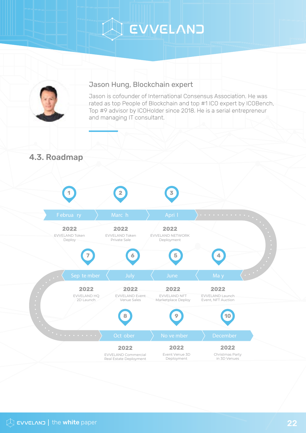# A EVVELANT

<span id="page-21-0"></span>

#### Jason Hung, Blockchain expert

Jason is cofounder of International Consensus Association. He was rated as top People of Blockchain and top #1 ICO expert by ICOBench, Top #9 advisor by ICOHolder since 2018. He is a serial entrepreneur and managing IT consultant.

4.3. Roadmap

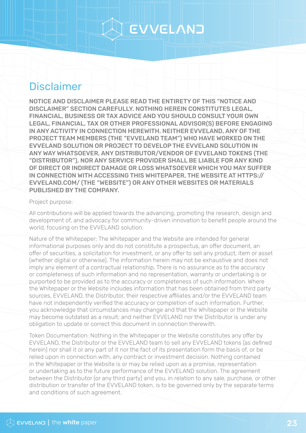### **Disclaimer**

NOTICE AND DISCLAIMER PLEASE READ THE ENTIRETY OF THIS "NOTICE AND DISCLAIMER" SECTION CAREFULLY. NOTHING HEREIN CONSTITUTES LEGAL, FINANCIAL, BUSINESS OR TAX ADVICE AND YOU SHOULD CONSULT YOUR OWN LEGAL, FINANCIAL, TAX OR OTHER PROFESSIONAL ADVISOR(S) BEFORE ENGAGING IN ANY ACTIVITY IN CONNECTION HEREWITH. NEITHER EVVELAND, ANY OF THE PROJECT TEAM MEMBERS (THE "EVVELAND TEAM") WHO HAVE WORKED ON THE EVVELAND SOLUTION OR PROJECT TO DEVELOP THE EVVELAND SOLUTION IN ANY WAY WHATSOEVER, ANY DISTRIBUTOR/VENDOR OF EVVELAND TOKENS (THE "DISTRIBUTOR"), NOR ANY SERVICE PROVIDER SHALL BE LIABLE FOR ANY KIND OF DIRECT OR INDIRECT DAMAGE OR LOSS WHATSOEVER WHICH YOU MAY SUFFER IN CONNECTION WITH ACCESSING THIS WHITEPAPER, THE WEBSITE AT HTTPS:// EVVELAND.COM/ (THE "WEBSITE") OR ANY OTHER WEBSITES OR MATERIALS PUBLISHED BY THE COMPANY.

#### Project purpose:

All contributions will be applied towards the advancing, promoting the research, design and development of, and advocacy for community-driven innovation to benefit people around the world, focusing on the EVVELAND solution.

Nature of the Whitepaper: The Whitepaper and the Website are intended for general informational purposes only and do not constitute a prospectus, an offer document, an offer of securities, a solicitation for investment, or any offer to sell any product, item or asset (whether digital or otherwise). The information herein may not be exhaustive and does not imply any element of a contractual relationship. There is no assurance as to the accuracy or completeness of such information and no representation, warranty or undertaking is or purported to be provided as to the accuracy or completeness of such information. Where the Whitepaper or the Website includes information that has been obtained from third party sources, EVVELAND, the Distributor, their respective affiliates and/or the EVVELAND team have not independently verified the accuracy or completion of such information. Further, you acknowledge that circumstances may change and that the Whitepaper or the Website may become outdated as a result; and neither EVVELAND nor the Distributor is under any obligation to update or correct this document in connection therewith.

Token Documentation: Nothing in the Whitepaper or the Website constitutes any offer by EVVELAND, the Distributor or the EVVELAND team to sell any EVVELAND tokens (as defined herein) nor shall it or any part of it nor the fact of its presentation form the basis of, or be relied upon in connection with, any contract or investment decision. Nothing contained in the Whitepaper or the Website is or may be relied upon as a promise, representation or undertaking as to the future performance of the EVVELAND solution. The agreement between the Distributor (or any third party) and you, in relation to any sale, purchase, or other distribution or transfer of the EVVELAND token, is to be governed only by the separate terms and conditions of such agreement.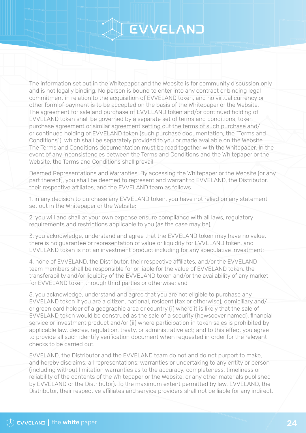## CVVELAND

The information set out in the Whitepaper and the Website is for community discussion only and is not legally binding. No person is bound to enter into any contract or binding legal commitment in relation to the acquisition of EVVELAND token, and no virtual currency or other form of payment is to be accepted on the basis of the Whitepaper or the Website. The agreement for sale and purchase of EVVELAND token and/or continued holding of EVVELAND token shall be governed by a separate set of terms and conditions, token purchase agreement or similar agreement setting out the terms of such purchase and/ or continued holding of EVVELAND token (such purchase documentation, the "Terms and Conditions"), which shall be separately provided to you or made available on the Website. The Terms and Conditions documentation must be read together with the Whitepaper. In the event of any inconsistencies between the Terms and Conditions and the Whitepaper or the Website, the Terms and Conditions shall prevail.

Deemed Representations and Warranties: By accessing the Whitepaper or the Website (or any part thereof), you shall be deemed to represent and warrant to EVVELAND, the Distributor, their respective affiliates, and the EVVELAND team as follows:

1. in any decision to purchase any EVVELAND token, you have not relied on any statement set out in the Whitepaper or the Website;

2. you will and shall at your own expense ensure compliance with all laws, regulatory requirements and restrictions applicable to you (as the case may be);

3. you acknowledge, understand and agree that the EVVELAND token may have no value, there is no guarantee or representation of value or liquidity for EVVELAND token, and EVVELAND token is not an investment product including for any speculative investment;

4. none of EVVELAND, the Distributor, their respective affiliates, and/or the EVVELAND team members shall be responsible for or liable for the value of EVVELAND token, the transferability and/or liquidity of the EVVELAND token and/or the availability of any market for EVVELAND token through third parties or otherwise; and

5. you acknowledge, understand and agree that you are not eligible to purchase any EVVELAND token if you are a citizen, national, resident (tax or otherwise), domiciliary and/ or green card holder of a geographic area or country (i) where it is likely that the sale of EVVELAND token would be construed as the sale of a security (howsoever named), financial service or investment product and/or (ii) where participation in token sales is prohibited by applicable law, decree, regulation, treaty, or administrative act; and to this effect you agree to provide all such identify verification document when requested in order for the relevant checks to be carried out.

EVVELAND, the Distributor and the EVVELAND team do not and do not purport to make, and hereby disclaims, all representations, warranties or undertaking to any entity or person (including without limitation warranties as to the accuracy, completeness, timeliness or reliability of the contents of the Whitepaper or the Website, or any other materials published by EVVELAND or the Distributor). To the maximum extent permitted by law, EVVELAND, the Distributor, their respective affiliates and service providers shall not be liable for any indirect,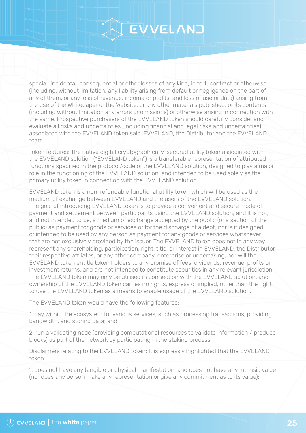## S EVVELAND

special, incidental, consequential or other losses of any kind, in tort, contract or otherwise (including, without limitation, any liability arising from default or negligence on the part of any of them, or any loss of revenue, income or profits, and loss of use or data) arising from the use of the Whitepaper or the Website, or any other materials published, or its contents (including without limitation any errors or omissions) or otherwise arising in connection with the same. Prospective purchasers of the EVVELAND token should carefully consider and evaluate all risks and uncertainties (including financial and legal risks and uncertainties) associated with the EVVELAND token sale, EVVELAND, the Distributor and the EVVELAND team.

Token features: The native digital cryptographically-secured utility token associated with the EVVELAND solution ("EVVELAND token") is a transferable representation of attributed functions specified in the protocol/code of the EVVELAND solution, designed to play a major role in the functioning of the EVVELAND solution, and intended to be used solely as the primary utility token in connection with the EVVELAND solution.

EVVELAND token is a non-refundable functional utility token which will be used as the medium of exchange between EVVELAND and the users of the EVVELAND solution. The goal of introducing EVVELAND token is to provide a convenient and secure mode of payment and settlement between participants using the EVVELAND solution, and it is not, and not intended to be, a medium of exchange accepted by the public (or a section of the public) as payment for goods or services or for the discharge of a debt; nor is it designed or intended to be used by any person as payment for any goods or services whatsoever that are not exclusively provided by the issuer. The EVVELAND token does not in any way represent any shareholding, participation, right, title, or interest in EVVELAND, the Distributor, their respective affiliates, or any other company, enterprise or undertaking, nor will the EVVELAND token entitle token holders to any promise of fees, dividends, revenue, profits or investment returns, and are not intended to constitute securities in any relevant jurisdiction. The EVVELAND token may only be utilised in connection with the EVVELAND solution, and ownership of the EVVELAND token carries no rights, express or implied, other than the right to use the EVVELAND token as a means to enable usage of the EVVELAND solution.

The EVVELAND token would have the following features:

1. pay within the ecosystem for various services, such as processing transactions, providing bandwidth, and storing data; and

2. run a validating node (providing computational resources to validate information / produce blocks) as part of the network by participating in the staking process.

Disclaimers relating to the EVVELAND token: It is expressly highlighted that the EVVELAND token:

1. does not have any tangible or physical manifestation, and does not have any intrinsic value (nor does any person make any representation or give any commitment as to its value);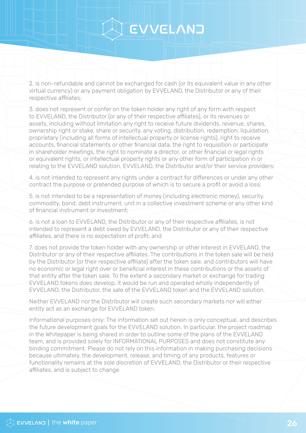### CVVELAND

2. is non-refundable and cannot be exchanged for cash (or its equivalent value in any other virtual currency) or any payment obligation by EVVELAND, the Distributor or any of their respective affiliates;

3. does not represent or confer on the token holder any right of any form with respect to EVVELAND, the Distributor (or any of their respective affiliates), or its revenues or assets, including without limitation any right to receive future dividends, revenue, shares, ownership right or stake, share or security, any voting, distribution, redemption, liquidation, proprietary (including all forms of intellectual property or license rights), right to receive accounts, financial statements or other financial data, the right to requisition or participate in shareholder meetings, the right to nominate a director, or other financial or legal rights or equivalent rights, or intellectual property rights or any other form of participation in or relating to the EVVELAND solution, EVVELAND, the Distributor and/or their service providers;

4. is not intended to represent any rights under a contract for differences or under any other contract the purpose or pretended purpose of which is to secure a profit or avoid a loss;

5. is not intended to be a representation of money (including electronic money), security, commodity, bond, debt instrument, unit in a collective investment scheme or any other kind of financial instrument or investment;

6. is not a loan to EVVELAND, the Distributor or any of their respective affiliates, is not intended to represent a debt owed by EVVELAND, the Distributor or any of their respective affiliates, and there is no expectation of profit; and

7. does not provide the token holder with any ownership or other interest in EVVELAND, the Distributor or any of their respective affiliates. The contributions in the token sale will be held by the Distributor (or their respective affiliate) after the token sale, and contributors will have no economic or legal right over or beneficial interest in these contributions or the assets of that entity after the token sale. To the extent a secondary market or exchange for trading EVVELAND tokens does develop, it would be run and operated wholly independently of EVVELAND, the Distributor, the sale of the EVVELAND token and the EVVELAND solution.

Neither EVVELAND nor the Distributor will create such secondary markets nor will either entity act as an exchange for EVVELAND token.

Informational purposes only: The information set out herein is only conceptual, and describes the future development goals for the EVVELAND solution. In particular, the project roadmap in the Whitepaper is being shared in order to outline some of the plans of the EVVELAND team, and is provided solely for INFORMATIONAL PURPOSES and does not constitute any binding commitment. Please do not rely on this information in making purchasing decisions because ultimately, the development, release, and timing of any products, features or functionality remains at the sole discretion of EVVELAND, the Distributor or their respective affiliates, and is subject to change.